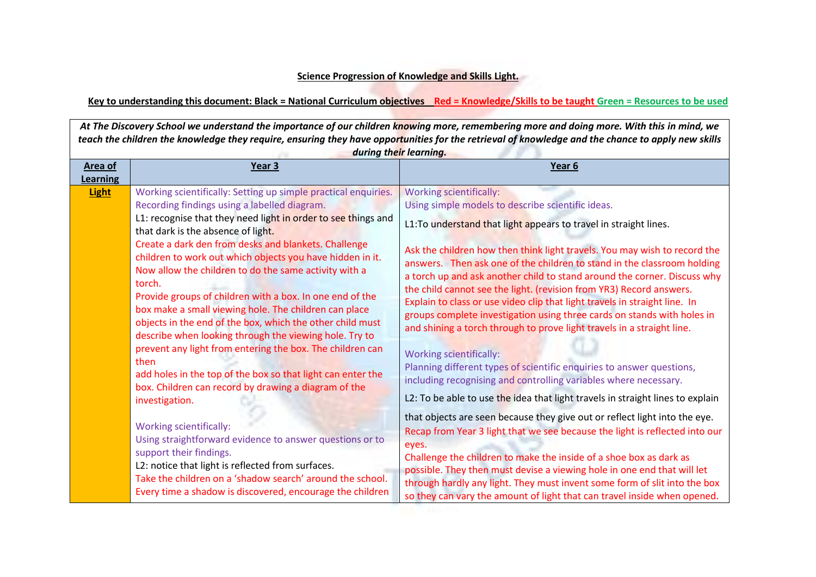## **Science Progression of Knowledge and Skills Light.**

## **Key to understanding this document: Black = National Curriculum objectives Red = Knowledge/Skills to be taught Green = Resources to be used**

*At The Discovery School we understand the importance of our children knowing more, remembering more and doing more. With this in mind, we teach the children the knowledge they require, ensuring they have opportunities for the retrieval of knowledge and the chance to apply new skills during their learning.*

| Area of<br><b>Learning</b> | Year <sub>3</sub>                                                                                                                                                                                                                                                                                                                                                                                                                                                                                                                                                                                                                                         | Year <sub>6</sub>                                                                                                                                                                                                                                                                                                                                                                                                                                                                                                                                                                                                                                                                                      |
|----------------------------|-----------------------------------------------------------------------------------------------------------------------------------------------------------------------------------------------------------------------------------------------------------------------------------------------------------------------------------------------------------------------------------------------------------------------------------------------------------------------------------------------------------------------------------------------------------------------------------------------------------------------------------------------------------|--------------------------------------------------------------------------------------------------------------------------------------------------------------------------------------------------------------------------------------------------------------------------------------------------------------------------------------------------------------------------------------------------------------------------------------------------------------------------------------------------------------------------------------------------------------------------------------------------------------------------------------------------------------------------------------------------------|
| <b>Light</b>               | Working scientifically: Setting up simple practical enquiries.<br>Recording findings using a labelled diagram.<br>L1: recognise that they need light in order to see things and<br>that dark is the absence of light.<br>Create a dark den from desks and blankets. Challenge<br>children to work out which objects you have hidden in it.<br>Now allow the children to do the same activity with a<br>torch.<br>Provide groups of children with a box. In one end of the<br>box make a small viewing hole. The children can place<br>objects in the end of the box, which the other child must<br>describe when looking through the viewing hole. Try to | <b>Working scientifically:</b><br>Using simple models to describe scientific ideas.<br>L1: To understand that light appears to travel in straight lines.<br>Ask the children how then think light travels. You may wish to record the<br>answers. Then ask one of the children to stand in the classroom holding<br>a torch up and ask another child to stand around the corner. Discuss why<br>the child cannot see the light. (revision from YR3) Record answers.<br>Explain to class or use video clip that light travels in straight line. In<br>groups complete investigation using three cards on stands with holes in<br>and shining a torch through to prove light travels in a straight line. |
|                            | prevent any light from entering the box. The children can<br>then<br>add holes in the top of the box so that light can enter the<br>box. Children can record by drawing a diagram of the<br>investigation.                                                                                                                                                                                                                                                                                                                                                                                                                                                | <b>Working scientifically:</b><br>Planning different types of scientific enquiries to answer questions,<br>including recognising and controlling variables where necessary.<br>L2: To be able to use the idea that light travels in straight lines to explain                                                                                                                                                                                                                                                                                                                                                                                                                                          |
|                            | <b>Working scientifically:</b><br>Using straightforward evidence to answer questions or to<br>support their findings.<br>L2: notice that light is reflected from surfaces.<br>Take the children on a 'shadow search' around the school.<br>Every time a shadow is discovered, encourage the children                                                                                                                                                                                                                                                                                                                                                      | that objects are seen because they give out or reflect light into the eye.<br>Recap from Year 3 light that we see because the light is reflected into our<br>eyes.<br>Challenge the children to make the inside of a shoe box as dark as<br>possible. They then must devise a viewing hole in one end that will let<br>through hardly any light. They must invent some form of slit into the box<br>so they can vary the amount of light that can travel inside when opened.                                                                                                                                                                                                                           |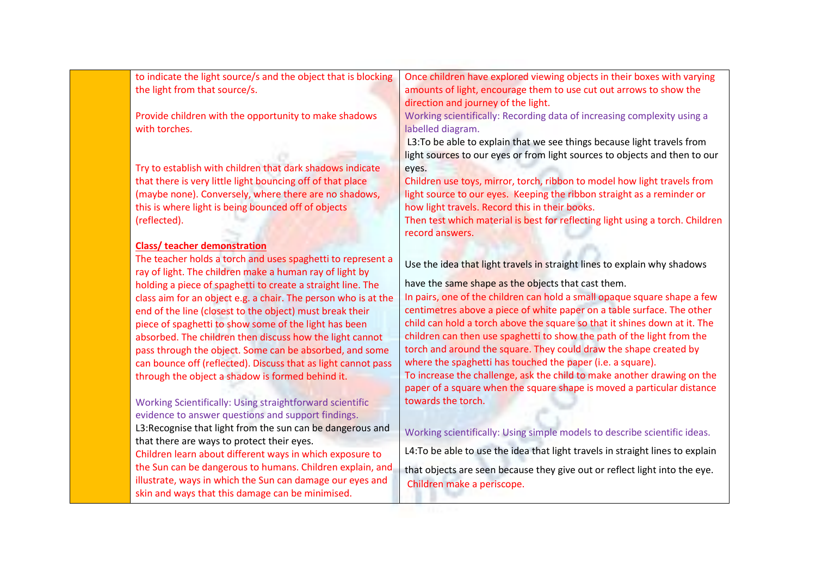| to indicate the light source/s and the object that is blocking | Once children have explored viewing objects in their boxes with varying        |
|----------------------------------------------------------------|--------------------------------------------------------------------------------|
| the light from that source/s.                                  | amounts of light, encourage them to use cut out arrows to show the             |
|                                                                | direction and journey of the light.                                            |
| Provide children with the opportunity to make shadows          | Working scientifically: Recording data of increasing complexity using a        |
| with torches.                                                  | labelled diagram.                                                              |
|                                                                | L3: To be able to explain that we see things because light travels from        |
|                                                                | light sources to our eyes or from light sources to objects and then to our     |
| Try to establish with children that dark shadows indicate      | eyes.                                                                          |
| that there is very little light bouncing off of that place     | Children use toys, mirror, torch, ribbon to model how light travels from       |
| (maybe none). Conversely, where there are no shadows,          | light source to our eyes. Keeping the ribbon straight as a reminder or         |
| this is where light is being bounced off of objects            | how light travels. Record this in their books.                                 |
| (reflected).                                                   | Then test which material is best for reflecting light using a torch. Children  |
|                                                                | record answers.                                                                |
| <b>Class/ teacher demonstration</b>                            |                                                                                |
| The teacher holds a torch and uses spaghetti to represent a    | Use the idea that light travels in straight lines to explain why shadows       |
| ray of light. The children make a human ray of light by        |                                                                                |
| holding a piece of spaghetti to create a straight line. The    | have the same shape as the objects that cast them.                             |
| class aim for an object e.g. a chair. The person who is at the | In pairs, one of the children can hold a small opaque square shape a few       |
| end of the line (closest to the object) must break their       | centimetres above a piece of white paper on a table surface. The other         |
| piece of spaghetti to show some of the light has been          | child can hold a torch above the square so that it shines down at it. The      |
| absorbed. The children then discuss how the light cannot       | children can then use spaghetti to show the path of the light from the         |
| pass through the object. Some can be absorbed, and some        | torch and around the square. They could draw the shape created by              |
| can bounce off (reflected). Discuss that as light cannot pass  | where the spaghetti has touched the paper (i.e. a square).                     |
| through the object a shadow is formed behind it.               | To increase the challenge, ask the child to make another drawing on the        |
|                                                                | paper of a square when the square shape is moved a particular distance         |
| Working Scientifically: Using straightforward scientific       | towards the torch.                                                             |
| evidence to answer questions and support findings.             |                                                                                |
| L3:Recognise that light from the sun can be dangerous and      | Working scientifically: Using simple models to describe scientific ideas.      |
| that there are ways to protect their eyes.                     |                                                                                |
| Children learn about different ways in which exposure to       | L4: To be able to use the idea that light travels in straight lines to explain |
| the Sun can be dangerous to humans. Children explain, and      | that objects are seen because they give out or reflect light into the eye.     |
| illustrate, ways in which the Sun can damage our eyes and      | Children make a periscope.                                                     |
| skin and ways that this damage can be minimised.               |                                                                                |
|                                                                |                                                                                |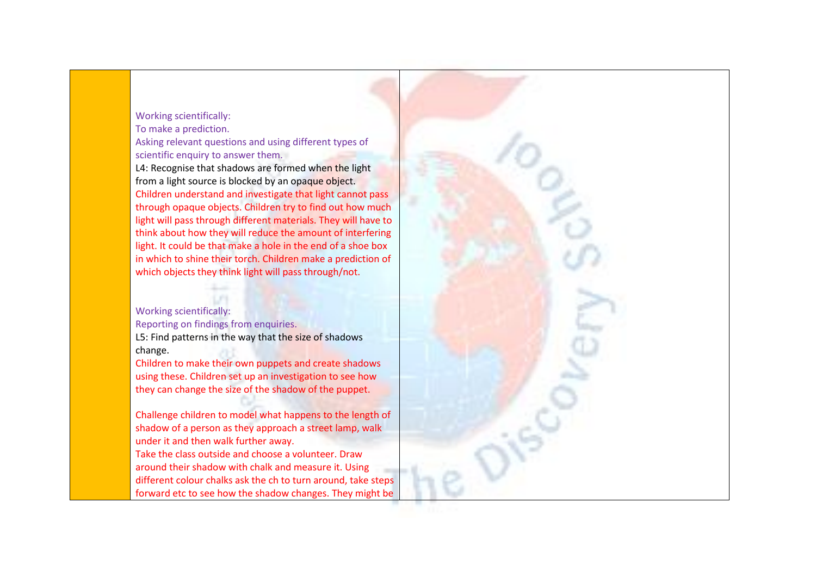## Working scientifically: To make a prediction. Asking relevant questions and using different types of scientific enquiry to answer them.

L4: Recognise that shadows are formed when the light from a light source is blocked by an opaque object. Children understand and investigate that light cannot pass through opaque objects. Children try to find out how much light will pass through different materials. They will have to think about how they will reduce the amount of interfering light. It could be that make a hole in the end of a shoe box in which to shine their torch. Children make a prediction of which objects they think light will pass through/not.

## Working scientifically:

Reporting on findings from enquiries.

L5: Find patterns in the way that the size of shadows change.

Children to make their own puppets and create shadows using these. Children set up an investigation to see how they can change the size of the shadow of the puppet.

Challenge children to model what happens to the length of shadow of a person as they approach a street lamp, walk under it and then walk further away.

Take the class outside and choose a volunteer. Draw around their shadow with chalk and measure it. Using different colour chalks ask the ch to turn around, take steps forward etc to see how the shadow changes. They might be

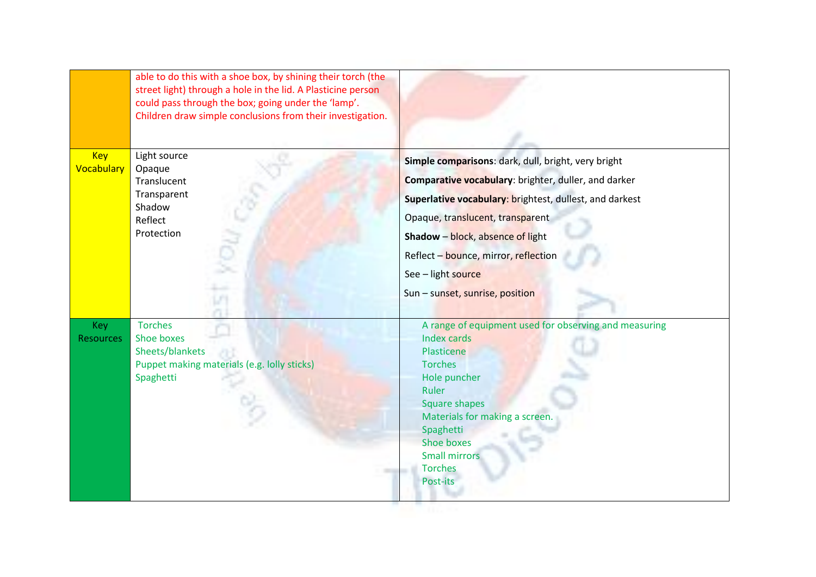|                                | able to do this with a shoe box, by shining their torch (the<br>street light) through a hole in the lid. A Plasticine person<br>could pass through the box; going under the 'lamp'.<br>Children draw simple conclusions from their investigation. |                                                                                                                                                                                                                                                                                                                                                 |
|--------------------------------|---------------------------------------------------------------------------------------------------------------------------------------------------------------------------------------------------------------------------------------------------|-------------------------------------------------------------------------------------------------------------------------------------------------------------------------------------------------------------------------------------------------------------------------------------------------------------------------------------------------|
| <b>Key</b><br>Vocabulary       | Light source<br>Opaque<br>Translucent<br>Transparent<br>Shadow<br>Reflect<br>Protection                                                                                                                                                           | Simple comparisons: dark, dull, bright, very bright<br>Comparative vocabulary: brighter, duller, and darker<br>Superlative vocabulary: brightest, dullest, and darkest<br>Opaque, translucent, transparent<br>Shadow - block, absence of light<br>Reflect - bounce, mirror, reflection<br>See - light source<br>Sun - sunset, sunrise, position |
| <b>Key</b><br><b>Resources</b> | <b>Torches</b><br>Shoe boxes<br>Sheets/blankets<br>Puppet making materials (e.g. lolly sticks)<br>Spaghetti                                                                                                                                       | A range of equipment used for observing and measuring<br><b>Index cards</b><br>Plasticene<br><b>Torches</b><br>Hole puncher<br>Ruler<br><b>Square shapes</b><br>Materials for making a screen.<br>Spaghetti<br><b>Shoe boxes</b><br><b>Small mirrors</b><br><b>Torches</b><br>Post-its                                                          |

795 S.C